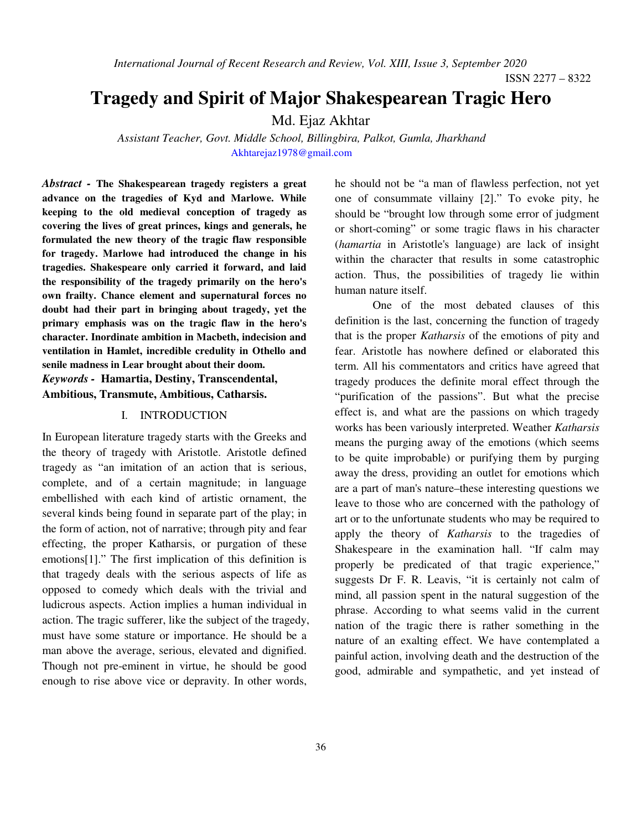*International Journal of Recent Research and Review, Vol. XIII, Issue 3, September 2020* 

ISSN 2277 – 8322

# **Tragedy and Spirit of Major Shakespearean Tragic Hero**

Md. Ejaz Akhtar

 *Assistant Teacher, Govt. Middle School, Billingbira, Palkot, Gumla, Jharkhand*  Akhtarejaz1978@gmail.com

*Abstract -* **The Shakespearean tragedy registers a great advance on the tragedies of Kyd and Marlowe. While keeping to the old medieval conception of tragedy as covering the lives of great princes, kings and generals, he formulated the new theory of the tragic flaw responsible for tragedy. Marlowe had introduced the change in his tragedies. Shakespeare only carried it forward, and laid the responsibility of the tragedy primarily on the hero's own frailty. Chance element and supernatural forces no doubt had their part in bringing about tragedy, yet the primary emphasis was on the tragic flaw in the hero's character. Inordinate ambition in Macbeth, indecision and ventilation in Hamlet, incredible credulity in Othello and senile madness in Lear brought about their doom.**  *Keywords -* **Hamartia, Destiny, Transcendental,** 

**Ambitious, Transmute, Ambitious, Catharsis.** 

### I. INTRODUCTION

In European literature tragedy starts with the Greeks and the theory of tragedy with Aristotle. Aristotle defined tragedy as "an imitation of an action that is serious, complete, and of a certain magnitude; in language embellished with each kind of artistic ornament, the several kinds being found in separate part of the play; in the form of action, not of narrative; through pity and fear effecting, the proper Katharsis, or purgation of these emotions[1]." The first implication of this definition is that tragedy deals with the serious aspects of life as opposed to comedy which deals with the trivial and ludicrous aspects. Action implies a human individual in action. The tragic sufferer, like the subject of the tragedy, must have some stature or importance. He should be a man above the average, serious, elevated and dignified. Though not pre-eminent in virtue, he should be good enough to rise above vice or depravity. In other words,

he should not be "a man of flawless perfection, not yet one of consummate villainy [2]." To evoke pity, he should be "brought low through some error of judgment or short-coming" or some tragic flaws in his character (*hamartia* in Aristotle's language) are lack of insight within the character that results in some catastrophic action. Thus, the possibilities of tragedy lie within human nature itself.

One of the most debated clauses of this definition is the last, concerning the function of tragedy that is the proper *Katharsis* of the emotions of pity and fear. Aristotle has nowhere defined or elaborated this term. All his commentators and critics have agreed that tragedy produces the definite moral effect through the "purification of the passions". But what the precise effect is, and what are the passions on which tragedy works has been variously interpreted. Weather *Katharsis* means the purging away of the emotions (which seems to be quite improbable) or purifying them by purging away the dress, providing an outlet for emotions which are a part of man's nature–these interesting questions we leave to those who are concerned with the pathology of art or to the unfortunate students who may be required to apply the theory of *Katharsis* to the tragedies of Shakespeare in the examination hall. "If calm may properly be predicated of that tragic experience," suggests Dr F. R. Leavis, "it is certainly not calm of mind, all passion spent in the natural suggestion of the phrase. According to what seems valid in the current nation of the tragic there is rather something in the nature of an exalting effect. We have contemplated a painful action, involving death and the destruction of the good, admirable and sympathetic, and yet instead of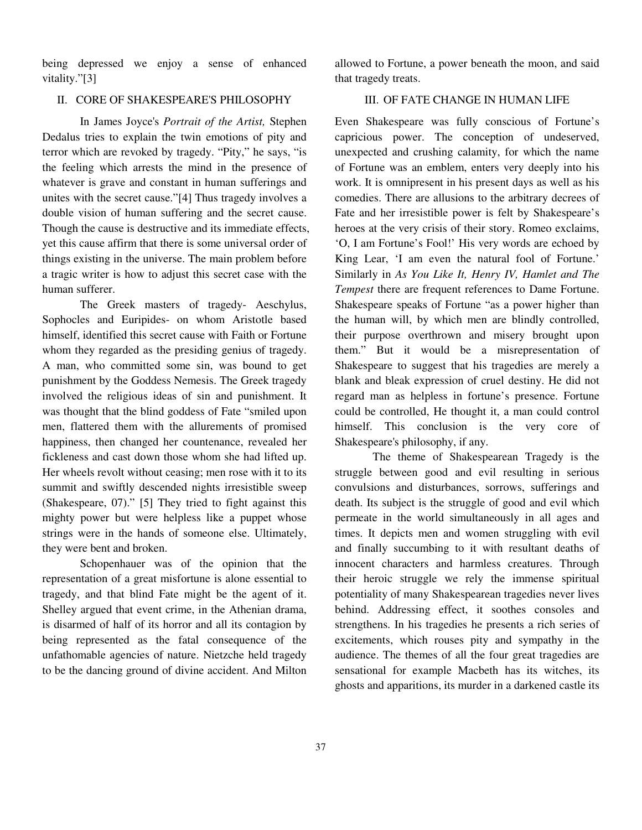being depressed we enjoy a sense of enhanced vitality."[3]

#### II. CORE OF SHAKESPEARE'S PHILOSOPHY

In James Joyce's *Portrait of the Artist,* Stephen Dedalus tries to explain the twin emotions of pity and terror which are revoked by tragedy. "Pity," he says, "is the feeling which arrests the mind in the presence of whatever is grave and constant in human sufferings and unites with the secret cause."[4] Thus tragedy involves a double vision of human suffering and the secret cause. Though the cause is destructive and its immediate effects, yet this cause affirm that there is some universal order of things existing in the universe. The main problem before a tragic writer is how to adjust this secret case with the human sufferer.

The Greek masters of tragedy- Aeschylus, Sophocles and Euripides- on whom Aristotle based himself, identified this secret cause with Faith or Fortune whom they regarded as the presiding genius of tragedy. A man, who committed some sin, was bound to get punishment by the Goddess Nemesis. The Greek tragedy involved the religious ideas of sin and punishment. It was thought that the blind goddess of Fate "smiled upon men, flattered them with the allurements of promised happiness, then changed her countenance, revealed her fickleness and cast down those whom she had lifted up. Her wheels revolt without ceasing; men rose with it to its summit and swiftly descended nights irresistible sweep (Shakespeare, 07)." [5] They tried to fight against this mighty power but were helpless like a puppet whose strings were in the hands of someone else. Ultimately, they were bent and broken.

Schopenhauer was of the opinion that the representation of a great misfortune is alone essential to tragedy, and that blind Fate might be the agent of it. Shelley argued that event crime, in the Athenian drama, is disarmed of half of its horror and all its contagion by being represented as the fatal consequence of the unfathomable agencies of nature. Nietzche held tragedy to be the dancing ground of divine accident. And Milton

allowed to Fortune, a power beneath the moon, and said that tragedy treats.

#### III. OF FATE CHANGE IN HUMAN LIFE

Even Shakespeare was fully conscious of Fortune's capricious power. The conception of undeserved, unexpected and crushing calamity, for which the name of Fortune was an emblem, enters very deeply into his work. It is omnipresent in his present days as well as his comedies. There are allusions to the arbitrary decrees of Fate and her irresistible power is felt by Shakespeare's heroes at the very crisis of their story. Romeo exclaims, 'O, I am Fortune's Fool!' His very words are echoed by King Lear, 'I am even the natural fool of Fortune.' Similarly in *As You Like It, Henry IV, Hamlet and The Tempest* there are frequent references to Dame Fortune. Shakespeare speaks of Fortune "as a power higher than the human will, by which men are blindly controlled, their purpose overthrown and misery brought upon them." But it would be a misrepresentation of Shakespeare to suggest that his tragedies are merely a blank and bleak expression of cruel destiny. He did not regard man as helpless in fortune's presence. Fortune could be controlled, He thought it, a man could control himself. This conclusion is the very core of Shakespeare's philosophy, if any.

 The theme of Shakespearean Tragedy is the struggle between good and evil resulting in serious convulsions and disturbances, sorrows, sufferings and death. Its subject is the struggle of good and evil which permeate in the world simultaneously in all ages and times. It depicts men and women struggling with evil and finally succumbing to it with resultant deaths of innocent characters and harmless creatures. Through their heroic struggle we rely the immense spiritual potentiality of many Shakespearean tragedies never lives behind. Addressing effect, it soothes consoles and strengthens. In his tragedies he presents a rich series of excitements, which rouses pity and sympathy in the audience. The themes of all the four great tragedies are sensational for example Macbeth has its witches, its ghosts and apparitions, its murder in a darkened castle its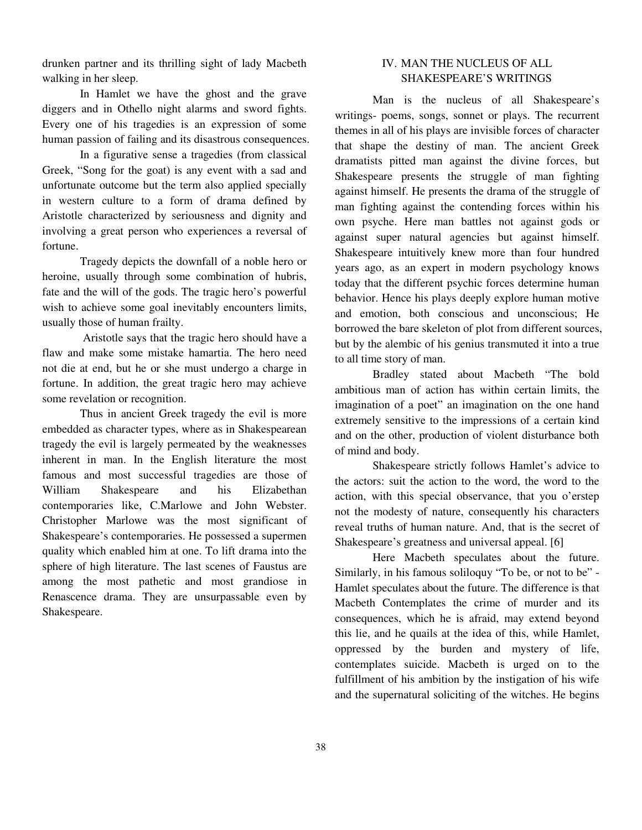drunken partner and its thrilling sight of lady Macbeth walking in her sleep.

 In Hamlet we have the ghost and the grave diggers and in Othello night alarms and sword fights. Every one of his tragedies is an expression of some human passion of failing and its disastrous consequences.

 In a figurative sense a tragedies (from classical Greek, "Song for the goat) is any event with a sad and unfortunate outcome but the term also applied specially in western culture to a form of drama defined by Aristotle characterized by seriousness and dignity and involving a great person who experiences a reversal of fortune.

 Tragedy depicts the downfall of a noble hero or heroine, usually through some combination of hubris, fate and the will of the gods. The tragic hero's powerful wish to achieve some goal inevitably encounters limits, usually those of human frailty.

 Aristotle says that the tragic hero should have a flaw and make some mistake hamartia. The hero need not die at end, but he or she must undergo a charge in fortune. In addition, the great tragic hero may achieve some revelation or recognition.

 Thus in ancient Greek tragedy the evil is more embedded as character types, where as in Shakespearean tragedy the evil is largely permeated by the weaknesses inherent in man. In the English literature the most famous and most successful tragedies are those of William Shakespeare and his Elizabethan contemporaries like, C.Marlowe and John Webster. Christopher Marlowe was the most significant of Shakespeare's contemporaries. He possessed a supermen quality which enabled him at one. To lift drama into the sphere of high literature. The last scenes of Faustus are among the most pathetic and most grandiose in Renascence drama. They are unsurpassable even by Shakespeare.

## IV. MAN THE NUCLEUS OF ALL SHAKESPEARE'S WRITINGS

 Man is the nucleus of all Shakespeare's writings- poems, songs, sonnet or plays. The recurrent themes in all of his plays are invisible forces of character that shape the destiny of man. The ancient Greek dramatists pitted man against the divine forces, but Shakespeare presents the struggle of man fighting against himself. He presents the drama of the struggle of man fighting against the contending forces within his own psyche. Here man battles not against gods or against super natural agencies but against himself. Shakespeare intuitively knew more than four hundred years ago, as an expert in modern psychology knows today that the different psychic forces determine human behavior. Hence his plays deeply explore human motive and emotion, both conscious and unconscious; He borrowed the bare skeleton of plot from different sources, but by the alembic of his genius transmuted it into a true to all time story of man.

 Bradley stated about Macbeth "The bold ambitious man of action has within certain limits, the imagination of a poet" an imagination on the one hand extremely sensitive to the impressions of a certain kind and on the other, production of violent disturbance both of mind and body.

 Shakespeare strictly follows Hamlet's advice to the actors: suit the action to the word, the word to the action, with this special observance, that you o'erstep not the modesty of nature, consequently his characters reveal truths of human nature. And, that is the secret of Shakespeare's greatness and universal appeal. [6]

 Here Macbeth speculates about the future. Similarly, in his famous soliloquy "To be, or not to be" - Hamlet speculates about the future. The difference is that Macbeth Contemplates the crime of murder and its consequences, which he is afraid, may extend beyond this lie, and he quails at the idea of this, while Hamlet, oppressed by the burden and mystery of life, contemplates suicide. Macbeth is urged on to the fulfillment of his ambition by the instigation of his wife and the supernatural soliciting of the witches. He begins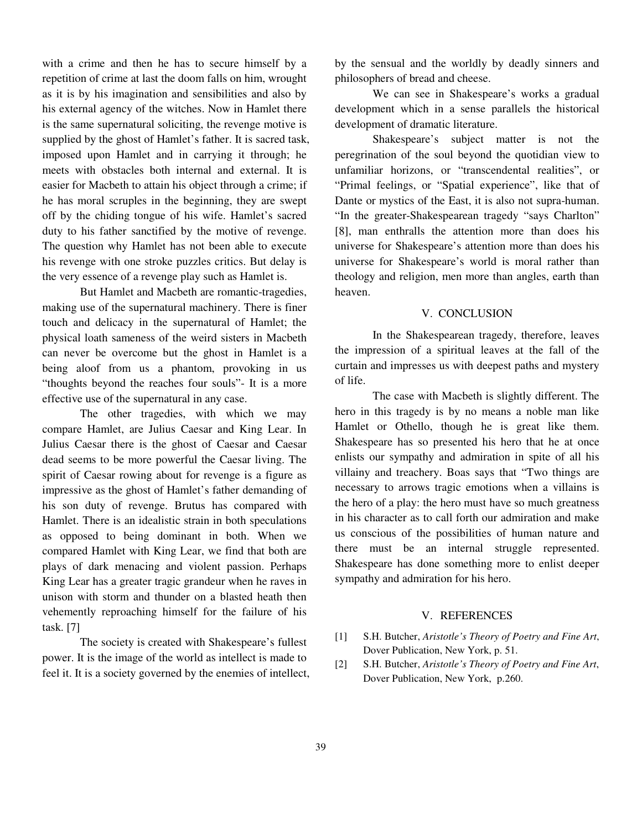with a crime and then he has to secure himself by a repetition of crime at last the doom falls on him, wrought as it is by his imagination and sensibilities and also by his external agency of the witches. Now in Hamlet there is the same supernatural soliciting, the revenge motive is supplied by the ghost of Hamlet's father. It is sacred task, imposed upon Hamlet and in carrying it through; he meets with obstacles both internal and external. It is easier for Macbeth to attain his object through a crime; if he has moral scruples in the beginning, they are swept off by the chiding tongue of his wife. Hamlet's sacred duty to his father sanctified by the motive of revenge. The question why Hamlet has not been able to execute his revenge with one stroke puzzles critics. But delay is the very essence of a revenge play such as Hamlet is.

 But Hamlet and Macbeth are romantic-tragedies, making use of the supernatural machinery. There is finer touch and delicacy in the supernatural of Hamlet; the physical loath sameness of the weird sisters in Macbeth can never be overcome but the ghost in Hamlet is a being aloof from us a phantom, provoking in us "thoughts beyond the reaches four souls"- It is a more effective use of the supernatural in any case.

 The other tragedies, with which we may compare Hamlet, are Julius Caesar and King Lear. In Julius Caesar there is the ghost of Caesar and Caesar dead seems to be more powerful the Caesar living. The spirit of Caesar rowing about for revenge is a figure as impressive as the ghost of Hamlet's father demanding of his son duty of revenge. Brutus has compared with Hamlet. There is an idealistic strain in both speculations as opposed to being dominant in both. When we compared Hamlet with King Lear, we find that both are plays of dark menacing and violent passion. Perhaps King Lear has a greater tragic grandeur when he raves in unison with storm and thunder on a blasted heath then vehemently reproaching himself for the failure of his task. [7]

 The society is created with Shakespeare's fullest power. It is the image of the world as intellect is made to feel it. It is a society governed by the enemies of intellect, by the sensual and the worldly by deadly sinners and philosophers of bread and cheese.

 We can see in Shakespeare's works a gradual development which in a sense parallels the historical development of dramatic literature.

 Shakespeare's subject matter is not the peregrination of the soul beyond the quotidian view to unfamiliar horizons, or "transcendental realities", or "Primal feelings, or "Spatial experience", like that of Dante or mystics of the East, it is also not supra-human. "In the greater-Shakespearean tragedy "says Charlton" [8], man enthralls the attention more than does his universe for Shakespeare's attention more than does his universe for Shakespeare's world is moral rather than theology and religion, men more than angles, earth than heaven.

#### V. CONCLUSION

 In the Shakespearean tragedy, therefore, leaves the impression of a spiritual leaves at the fall of the curtain and impresses us with deepest paths and mystery of life.

 The case with Macbeth is slightly different. The hero in this tragedy is by no means a noble man like Hamlet or Othello, though he is great like them. Shakespeare has so presented his hero that he at once enlists our sympathy and admiration in spite of all his villainy and treachery. Boas says that "Two things are necessary to arrows tragic emotions when a villains is the hero of a play: the hero must have so much greatness in his character as to call forth our admiration and make us conscious of the possibilities of human nature and there must be an internal struggle represented. Shakespeare has done something more to enlist deeper sympathy and admiration for his hero.

#### V. REFERENCES

- [1] S.H. Butcher, *Aristotle's Theory of Poetry and Fine Art*, Dover Publication, New York, p. 51.
- [2] S.H. Butcher, *Aristotle's Theory of Poetry and Fine Art*, Dover Publication, New York, p.260.